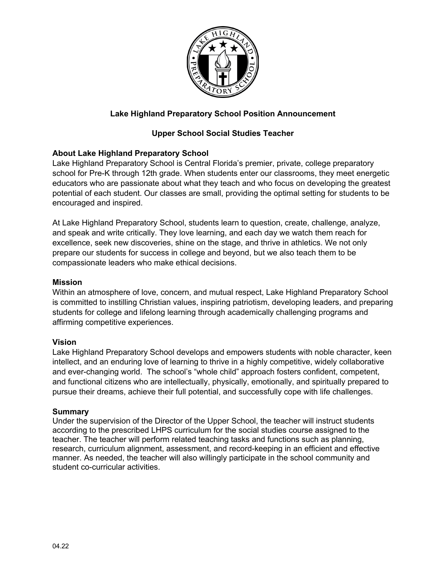

# **Lake Highland Preparatory School Position Announcement**

# **Upper School Social Studies Teacher**

### **About Lake Highland Preparatory School**

Lake Highland Preparatory School is Central Florida's premier, private, college preparatory school for Pre-K through 12th grade. When students enter our classrooms, they meet energetic educators who are passionate about what they teach and who focus on developing the greatest potential of each student. Our classes are small, providing the optimal setting for students to be encouraged and inspired.

At Lake Highland Preparatory School, students learn to question, create, challenge, analyze, and speak and write critically. They love learning, and each day we watch them reach for excellence, seek new discoveries, shine on the stage, and thrive in athletics. We not only prepare our students for success in college and beyond, but we also teach them to be compassionate leaders who make ethical decisions.

#### **Mission**

Within an atmosphere of love, concern, and mutual respect, Lake Highland Preparatory School is committed to instilling Christian values, inspiring patriotism, developing leaders, and preparing students for college and lifelong learning through academically challenging programs and affirming competitive experiences.

#### **Vision**

Lake Highland Preparatory School develops and empowers students with noble character, keen intellect, and an enduring love of learning to thrive in a highly competitive, widely collaborative and ever-changing world. The school's "whole child" approach fosters confident, competent, and functional citizens who are intellectually, physically, emotionally, and spiritually prepared to pursue their dreams, achieve their full potential, and successfully cope with life challenges.

#### **Summary**

Under the supervision of the Director of the Upper School, the teacher will instruct students according to the prescribed LHPS curriculum for the social studies course assigned to the teacher. The teacher will perform related teaching tasks and functions such as planning, research, curriculum alignment, assessment, and record-keeping in an efficient and effective manner. As needed, the teacher will also willingly participate in the school community and student co-curricular activities.